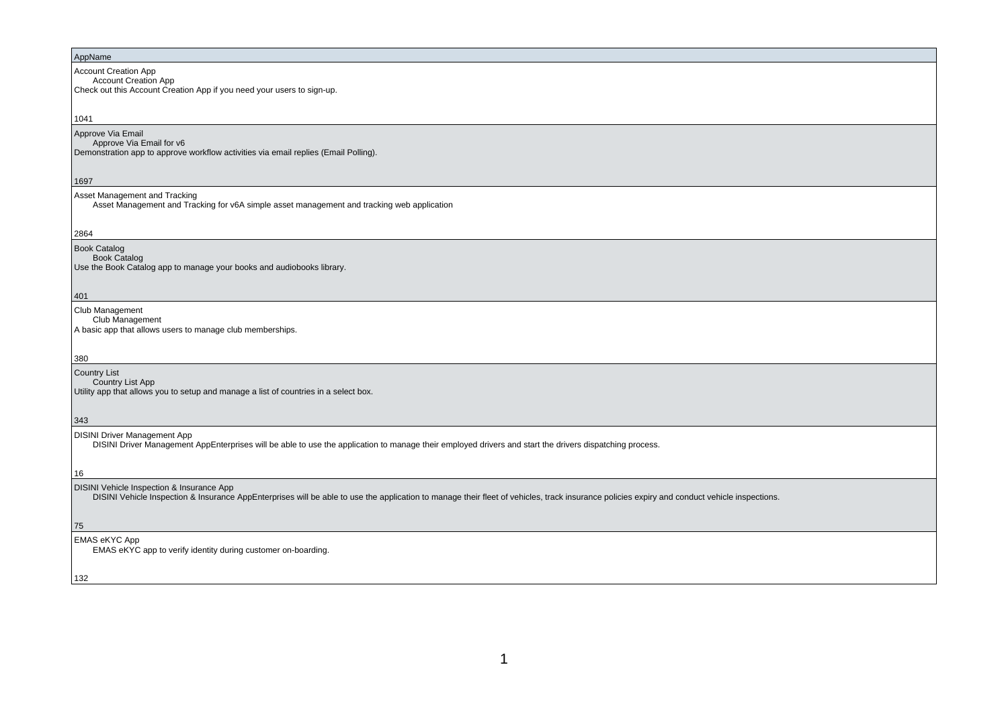#### AppName

Account Creation App

 Account Creation AppCheck out this Account Creation App if you need your users to sign-up.

#### 1041

Approve Via Email Approve Via Email for v6Demonstration app to approve workflow activities via email replies (Email Polling).

#### 1697

Asset Management and Tracking

Asset Management and Tracking for v6A simple asset management and tracking web application

## 2864

Book Catalog

 Book CatalogUse the Book Catalog app to manage your books and audiobooks library.

## 401

Club Management

Club Management

A basic app that allows users to manage club memberships.

#### 380

Country List

**Country List App** 

Utility app that allows you to setup and manage a list of countries in a select box.

#### 343

DISINI Driver Management App

DISINI Driver Management AppEnterprises will be able to use the application to manage their employed drivers and start the drivers dispatching process.

DISINI Vehicle Inspection & Insurance App

DISINI Vehicle Inspection & Insurance AppEnterprises will be able to use the application to manage their fleet of vehicles, track insurance policies expiry and conduct vehicle inspections.

75

132

16

EMAS eKYC App

EMAS eKYC app to verify identity during customer on-boarding.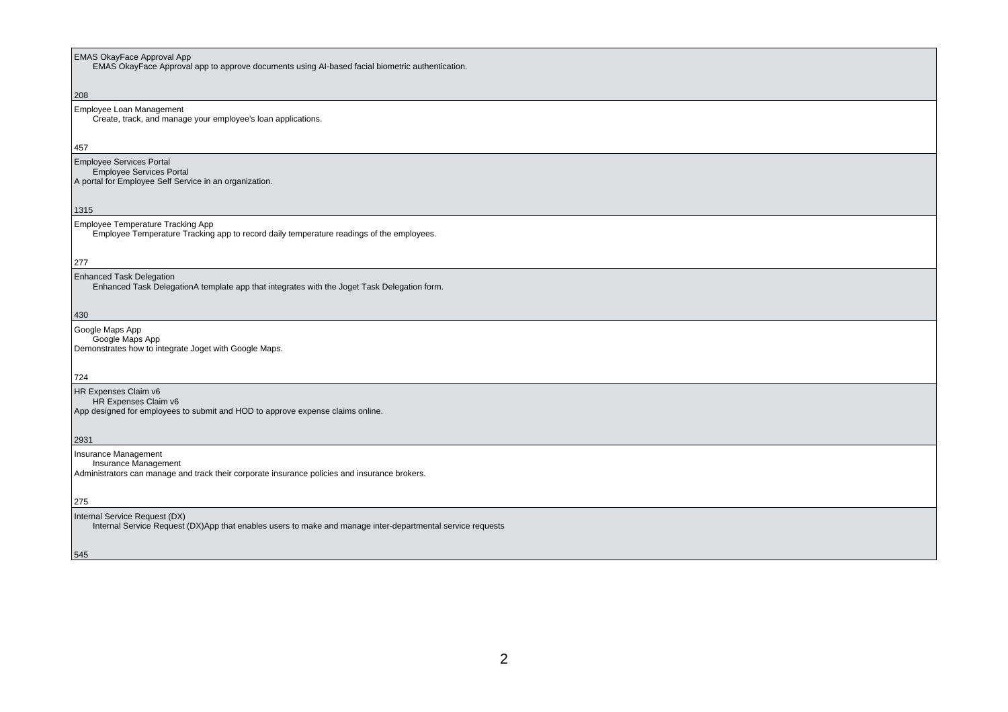## EMAS OkayFace Approval App

EMAS OkayFace Approval app to approve documents using AI-based facial biometric authentication.

#### 208

# Employee Loan Management

Create, track, and manage your employee's loan applications.

#### 457

# Employee Services Portal

 Employee Services PortalA portal for Employee Self Service in an organization.

#### 1315

#### Employee Temperature Tracking App

Employee Temperature Tracking app to record daily temperature readings of the employees.

#### 277

## Enhanced Task Delegation

Enhanced Task DelegationA template app that integrates with the Joget Task Delegation form.

430

#### Google Maps App Google Maps AppDemonstrates how to integrate Joget with Google Maps.

724

## HR Expenses Claim v6

HR Expenses Claim v6

App designed for employees to submit and HOD to approve expense claims online.

## 2931

Insurance Management Insurance ManagementAdministrators can manage and track their corporate insurance policies and insurance brokers.

#### 275

## Internal Service Request (DX)

Internal Service Request (DX)App that enables users to make and manage inter-departmental service requests

545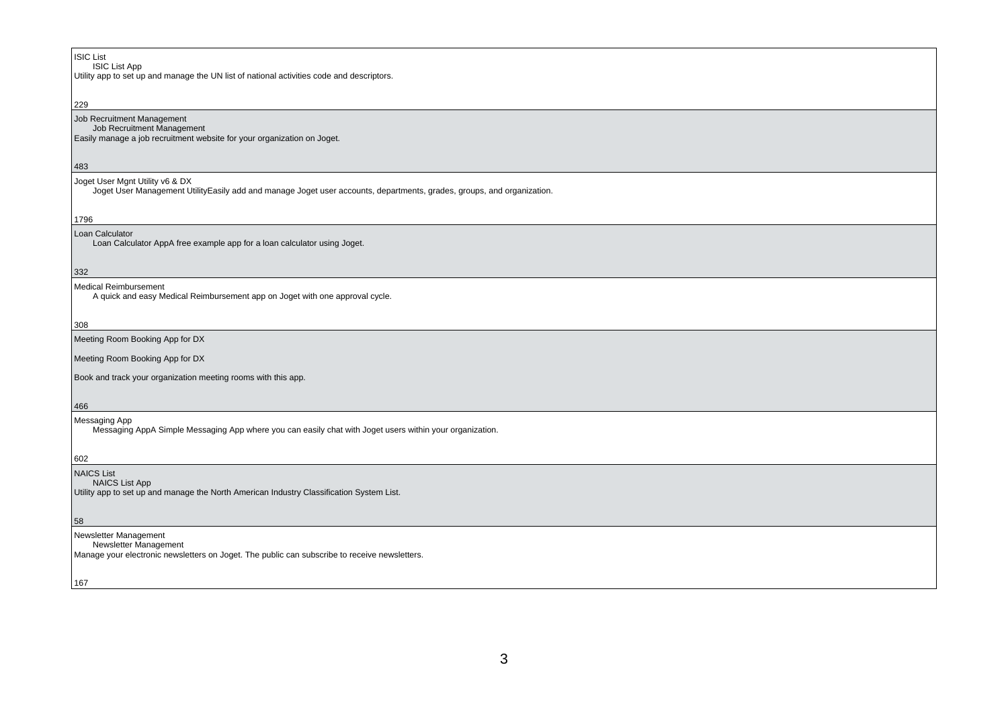# ISIC List ISIC List App Utility app to set up and manage the UN list of national activities code and descriptors.229 Job Recruitment Management Job Recruitment Management Easily manage a job recruitment website for your organization on Joget.483Joget User Mgnt Utility v6 & DX Joget User Management UtilityEasily add and manage Joget user accounts, departments, grades, groups, and organization.1796 Loan Calculator Loan Calculator AppA free example app for a loan calculator using Joget.332Medical Reimbursement A quick and easy Medical Reimbursement app on Joget with one approval cycle.308 Meeting Room Booking App for DXMeeting Room Booking App for DXBook and track your organization meeting rooms with this app.466Messaging App Messaging AppA Simple Messaging App where you can easily chat with Joget users within your organization.602 NAICS List**NAICS List App**  Utility app to set up and manage the North American Industry Classification System List.58Newsletter Management Newsletter Management Manage your electronic newsletters on Joget. The public can subscribe to receive newsletters.167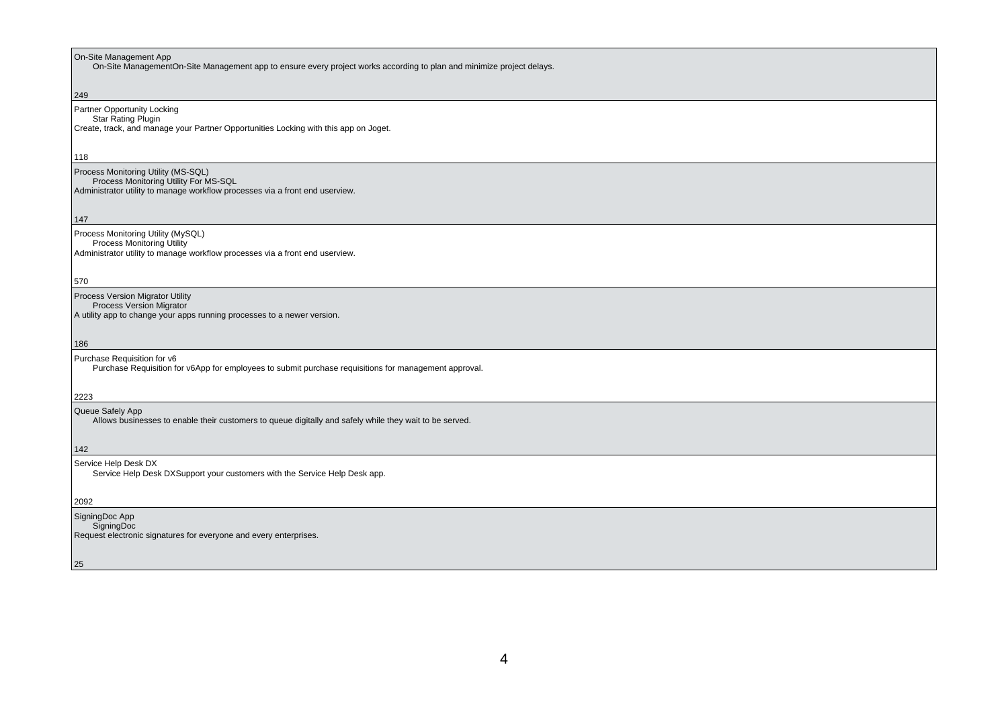| On-Site Management App<br>On-Site ManagementOn-Site Management app to ensure every project works according to plan and minimize project delays.         |
|---------------------------------------------------------------------------------------------------------------------------------------------------------|
| 249                                                                                                                                                     |
| Partner Opportunity Locking<br><b>Star Rating Plugin</b><br>Create, track, and manage your Partner Opportunities Locking with this app on Joget.<br>118 |
| Process Monitoring Utility (MS-SQL)                                                                                                                     |
| Process Monitoring Utility For MS-SQL<br>Administrator utility to manage workflow processes via a front end userview.                                   |
| 147                                                                                                                                                     |
| Process Monitoring Utility (MySQL)<br><b>Process Monitoring Utility</b><br>Administrator utility to manage workflow processes via a front end userview. |
| 570                                                                                                                                                     |
| Process Version Migrator Utility<br><b>Process Version Migrator</b><br>A utility app to change your apps running processes to a newer version.          |
| 186                                                                                                                                                     |
| Purchase Requisition for v6<br>Purchase Requisition for v6App for employees to submit purchase requisitions for management approval.<br>2223            |
| Queue Safely App                                                                                                                                        |
| Allows businesses to enable their customers to queue digitally and safely while they wait to be served.<br>142                                          |
| Service Help Desk DX                                                                                                                                    |
| Service Help Desk DXSupport your customers with the Service Help Desk app.                                                                              |
| 2092                                                                                                                                                    |
| SigningDoc App<br>SigningDoc<br>Request electronic signatures for everyone and every enterprises.                                                       |
| 25                                                                                                                                                      |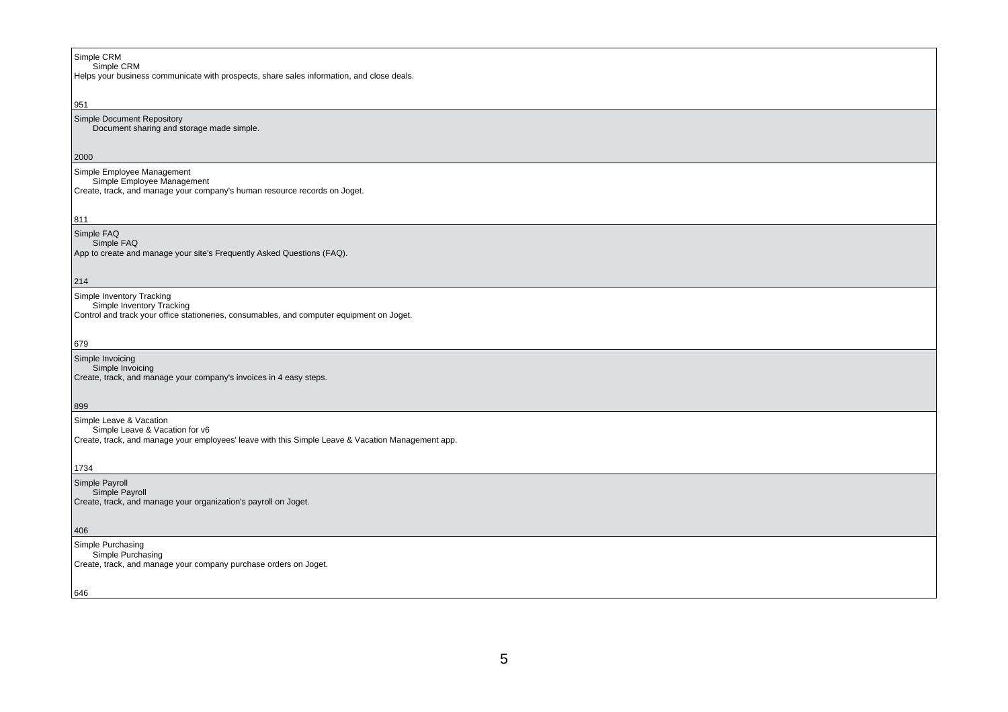| Simple CRM<br>Simple CRM<br>Helps your business communicate with prospects, share sales information, and close deals.                               |
|-----------------------------------------------------------------------------------------------------------------------------------------------------|
| 951                                                                                                                                                 |
| Simple Document Repository<br>Document sharing and storage made simple.                                                                             |
| 2000                                                                                                                                                |
| Simple Employee Management<br>Simple Employee Management<br>Create, track, and manage your company's human resource records on Joget.               |
| 811                                                                                                                                                 |
| Simple FAQ<br>Simple FAQ<br>App to create and manage your site's Frequently Asked Questions (FAQ).                                                  |
| 214                                                                                                                                                 |
| Simple Inventory Tracking<br>Simple Inventory Tracking<br>Control and track your office stationeries, consumables, and computer equipment on Joget. |
| 679                                                                                                                                                 |
| Simple Invoicing<br>Simple Invoicing<br>Create, track, and manage your company's invoices in 4 easy steps.<br>899                                   |
| Simple Leave & Vacation                                                                                                                             |
| Simple Leave & Vacation for v6<br>Create, track, and manage your employees' leave with this Simple Leave & Vacation Management app.                 |
| 1734                                                                                                                                                |
| Simple Payroll<br>Simple Payroll<br>Create, track, and manage your organization's payroll on Joget.                                                 |
| 406                                                                                                                                                 |
| Simple Purchasing<br>Simple Purchasing<br>Create, track, and manage your company purchase orders on Joget.                                          |
| 646                                                                                                                                                 |
|                                                                                                                                                     |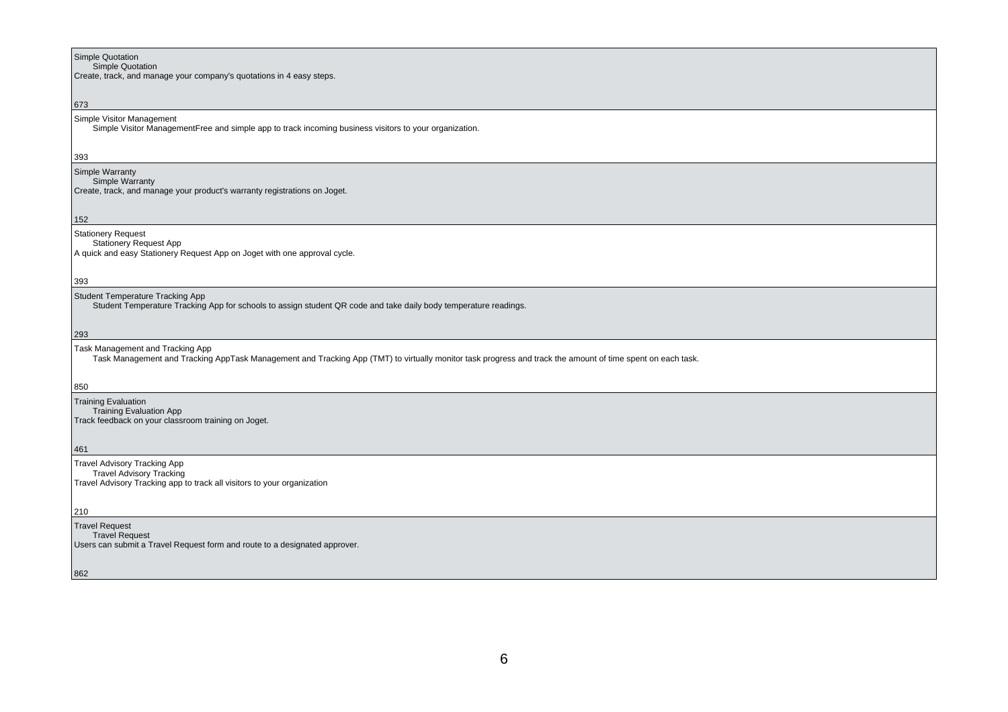| Simple Quotation                                                                                                                                                                               |
|------------------------------------------------------------------------------------------------------------------------------------------------------------------------------------------------|
| Simple Quotation<br>Create, track, and manage your company's quotations in 4 easy steps.                                                                                                       |
|                                                                                                                                                                                                |
| 673<br>Simple Visitor Management                                                                                                                                                               |
| Simple Visitor ManagementFree and simple app to track incoming business visitors to your organization.                                                                                         |
| 393                                                                                                                                                                                            |
| Simple Warranty                                                                                                                                                                                |
| Simple Warranty<br>Create, track, and manage your product's warranty registrations on Joget.                                                                                                   |
|                                                                                                                                                                                                |
| 152<br><b>Stationery Request</b>                                                                                                                                                               |
| <b>Stationery Request App</b><br>A quick and easy Stationery Request App on Joget with one approval cycle.                                                                                     |
|                                                                                                                                                                                                |
| 393                                                                                                                                                                                            |
| Student Temperature Tracking App<br>Student Temperature Tracking App for schools to assign student QR code and take daily body temperature readings.                                           |
|                                                                                                                                                                                                |
| 293                                                                                                                                                                                            |
| Task Management and Tracking App<br>Task Management and Tracking AppTask Management and Tracking App (TMT) to virtually monitor task progress and track the amount of time spent on each task. |
|                                                                                                                                                                                                |
| 850                                                                                                                                                                                            |
| <b>Training Evaluation</b><br>Training Evaluation App<br>Track feedback on your classroom training on Joget.                                                                                   |
|                                                                                                                                                                                                |
| 461                                                                                                                                                                                            |
| <b>Travel Advisory Tracking App</b><br><b>Travel Advisory Tracking</b>                                                                                                                         |
| Travel Advisory Tracking app to track all visitors to your organization                                                                                                                        |
| 210                                                                                                                                                                                            |
| <b>Travel Request</b>                                                                                                                                                                          |
| <b>Travel Request</b><br>Users can submit a Travel Request form and route to a designated approver.                                                                                            |
|                                                                                                                                                                                                |
| 862                                                                                                                                                                                            |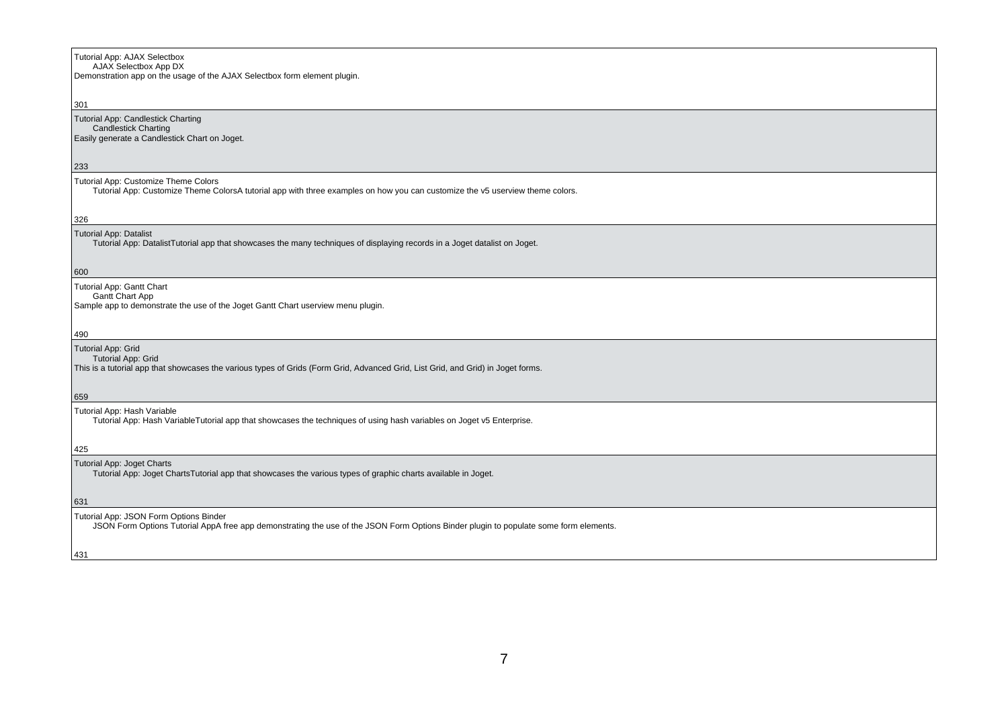# Tutorial App: AJAX Selectbox AJAX Selectbox App DX Demonstration app on the usage of the AJAX Selectbox form element plugin.301 Tutorial App: Candlestick Charting Candlestick Charting Easily generate a Candlestick Chart on Joget. $|_{233}$ Tutorial App: Customize Theme Colors Tutorial App: Customize Theme ColorsA tutorial app with three examples on how you can customize the v5 userview theme colors.326 Tutorial App: Datalist Tutorial App: DatalistTutorial app that showcases the many techniques of displaying records in a Joget datalist on Joget.600 Tutorial App: Gantt Chart Gantt Chart App Sample app to demonstrate the use of the Joget Gantt Chart userview menu plugin.490 Tutorial App: Grid**Tutorial App: Grid**  This is a tutorial app that showcases the various types of Grids (Form Grid, Advanced Grid, List Grid, and Grid) in Joget forms.659 Tutorial App: Hash Variable Tutorial App: Hash VariableTutorial app that showcases the techniques of using hash variables on Joget v5 Enterprise.425 Tutorial App: Joget Charts Tutorial App: Joget ChartsTutorial app that showcases the various types of graphic charts available in Joget.631 Tutorial App: JSON Form Options BinderJSON Form Options Tutorial AppA free app demonstrating the use of the JSON Form Options Binder plugin to populate some form elements.

7

431